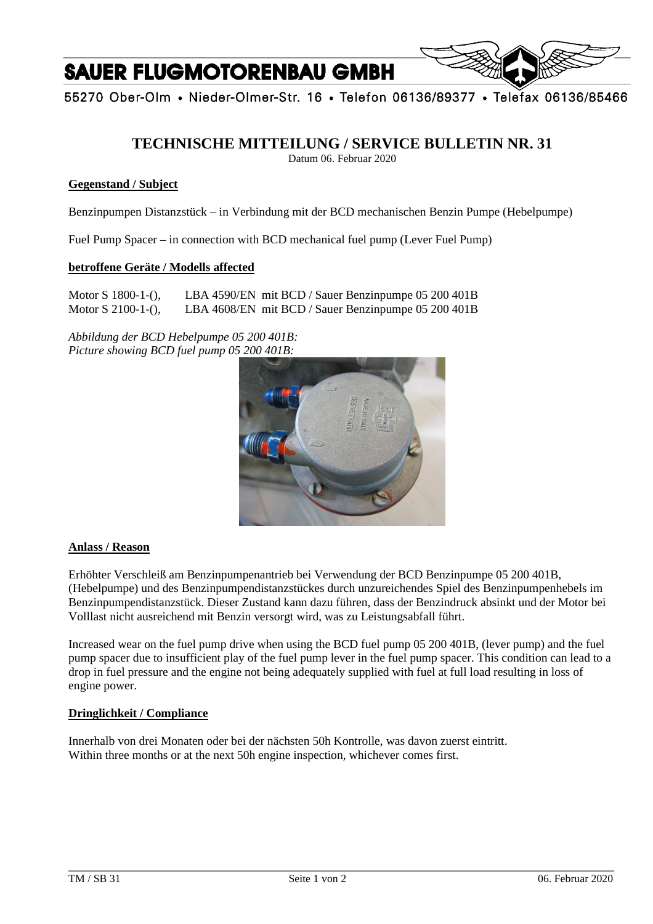# **SAUER FLUGMOTORENBAU GMBH**



55270 Ober-Olm • Nieder-Olmer-Str. 16 • Telefon 06136/89377 • Telefax 06136/85466

# **TECHNISCHE MITTEILUNG / SERVICE BULLETIN NR. 31**

Datum 06. Februar 2020

### **Gegenstand / Subject**

Benzinpumpen Distanzstück – in Verbindung mit der BCD mechanischen Benzin Pumpe (Hebelpumpe)

Fuel Pump Spacer – in connection with BCD mechanical fuel pump (Lever Fuel Pump)

#### **betroffene Geräte / Modells affected**

Motor S 1800-1-(), LBA 4590/EN mit BCD / Sauer Benzinpumpe 05 200 401B Motor S 2100-1-(), LBA 4608/EN mit BCD / Sauer Benzinpumpe 05 200 401B

*Abbildung der BCD Hebelpumpe 05 200 401B: Picture showing BCD fuel pump 05 200 401B:* 



#### **Anlass / Reason**

Erhöhter Verschleiß am Benzinpumpenantrieb bei Verwendung der BCD Benzinpumpe 05 200 401B, (Hebelpumpe) und des Benzinpumpendistanzstückes durch unzureichendes Spiel des Benzinpumpenhebels im Benzinpumpendistanzstück. Dieser Zustand kann dazu führen, dass der Benzindruck absinkt und der Motor bei Volllast nicht ausreichend mit Benzin versorgt wird, was zu Leistungsabfall führt.

Increased wear on the fuel pump drive when using the BCD fuel pump 05 200 401B, (lever pump) and the fuel pump spacer due to insufficient play of the fuel pump lever in the fuel pump spacer. This condition can lead to a drop in fuel pressure and the engine not being adequately supplied with fuel at full load resulting in loss of engine power.

### **Dringlichkeit / Compliance**

Innerhalb von drei Monaten oder bei der nächsten 50h Kontrolle, was davon zuerst eintritt. Within three months or at the next 50h engine inspection, whichever comes first.